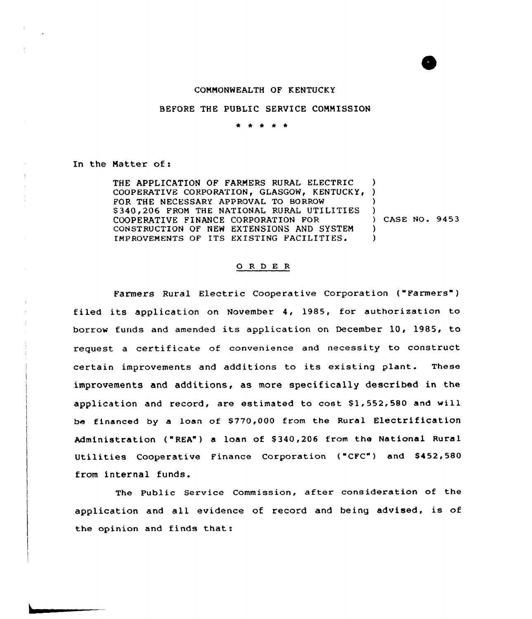## COMMONWEALTH OF KENTUCKY

## BEFORE THE PUBLIC SERVICE COMMISSION

\* \* \* \* \*

In the Natter of:

THE APPLICATION OF FARMERS RURAL ELECTRIC COOPERATIVE CORPORATION, GLASGOW, KENTUCKY, ) FOR THE NECESSARY APPROVAL TO BORROW \$340, 206 FROM THE NATIONAL RURAL UTILITIES COOPERATIVE FINANCE CORPORATION FOR CONSTRUCTION OF NEW EXTENSIONS AND SYSTEM IMPROVEMENTS OF ITS EXISTING FACILITIES <sup>~</sup> ) ) ) ) CASE NO. 9453  $\lambda$  $\lambda$ 

## 0 <sup>R</sup> <sup>D</sup> E <sup>R</sup>

Farmers Rural Electric Cooperative Corporation ("Farmers" ) filed its application on November 4, 1985, for authorization to borrov funds and amended its application on December 10, 1985, to request a certificate of convenience and necessity to construct certain improvements and additions to its existing plant. These improvements and additions, as more specifically described in the application and record, are estimated to cost \$1,552,580 and will be financed by a loan of \$770,000 from the Rural Electrification Administration ("REA") a loan of \$ 340,206 from the National Rural Utilities Cooperative Finance Corporation ("CFC") and \$452,580 from internal funds.

The Public Service Commission, after consideration of the application and all evidence of record and being advised, is of the opinion and finds that: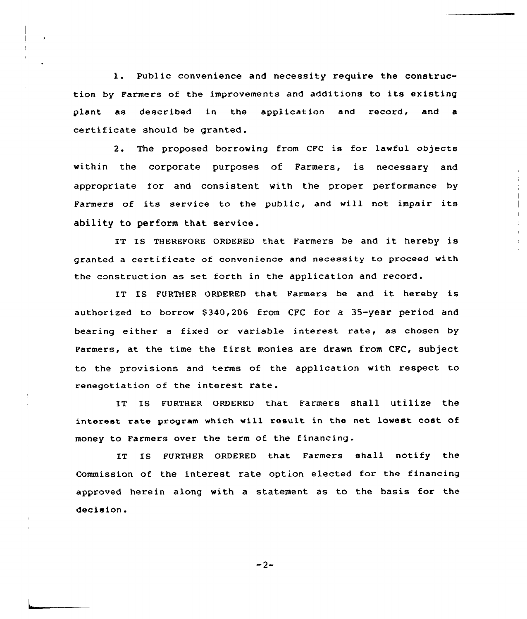1. Public convenience and necessity require the construction by Farmers of the improvements and additions to its existing plant as described in the application and record, and a certificate should be granted.

2. The proposed borrowing from CFC is for lawful objects within the corporate purposes of Farmers, is necessary and appropriate for and consistent with the proper performance by Farmers of its service to the public, and will not impair its ability to perform that service.

IT Is THEREFoRE oRDERED that Farmers be and it hereby is granted a certificate of convenience and necessity to proceed with the construction as set forth in the application and record.

IT IS FURTHER ORDERED that Farmers be and it hereby is authorized to borrow \$340,206 from CFC for a 35-year period and bearing either <sup>a</sup> fixed or variable interest rate, as chosen by Farmers, at the time the first monies are drawn from CPC, subject to the provisions and terms of the application with respect to renegotiation of the interest rate.

IT IS FURTHER ORDERED that Farmers shall utilize the interest rate program which will result in the net lowest cost of money to Farmers over the term of the financing.

IT IS FURTHER ORDERED that Farmers shall notify the Commission of the interest rate option elected for the financing approved herein along with a statement as to the basis for the decision.

 $-2-$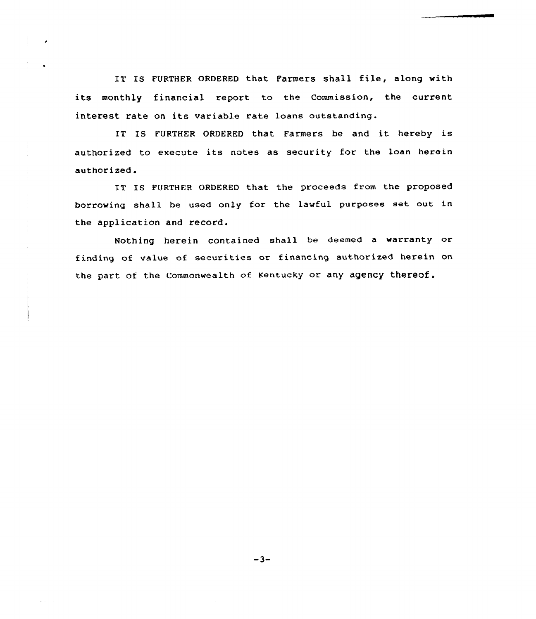IT IS FURTHER ORDERED that Farmers shall file, along with its monthly financial report to the Commission, the current interest rate on its variable rate loans outstanding.

IT IS FURTHER ORDERED that Farmers he and it hereby is authorized to execute its notes as security for the laan herein authorized.

IT IS FURTHER ORDERED that the proceeds from the proposed borrowing shall be used only for the lawful purposes set out in the application and record.

Nothing herein contained shall be deemed a warranty or finding of value of securities or financing authorized herein on the part of the Commonwealth of Kentucky or any agency thereof.